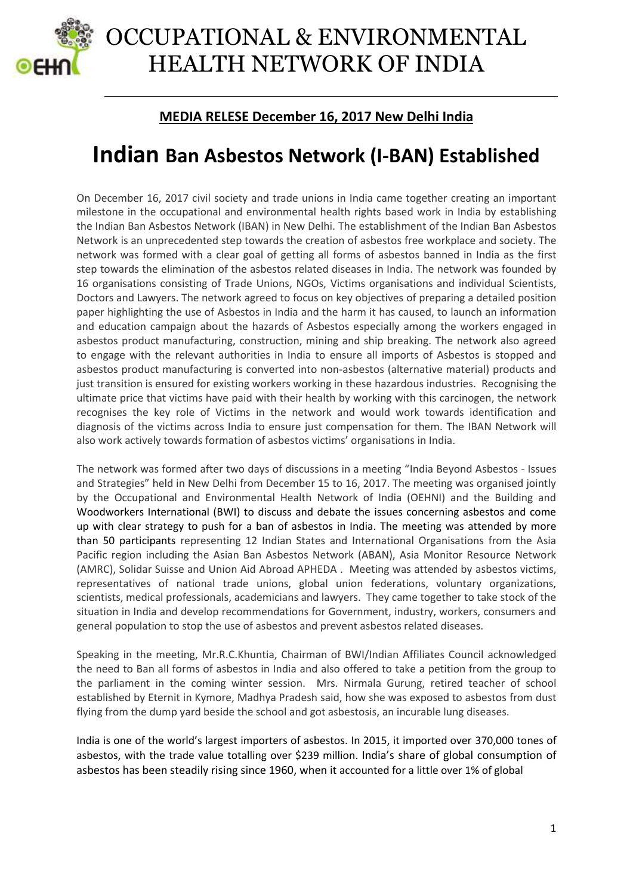

## OCCUPATIONAL & ENVIRONMENTAL HEALTH NETWORK OF INDIA

## **MEDIA RELESE December 16, 2017 New Delhi India**

## **Indian Ban Asbestos Network (I-BAN) Established**

On December 16, 2017 civil society and trade unions in India came together creating an important milestone in the occupational and environmental health rights based work in India by establishing the Indian Ban Asbestos Network (IBAN) in New Delhi. The establishment of the Indian Ban Asbestos Network is an unprecedented step towards the creation of asbestos free workplace and society. The network was formed with a clear goal of getting all forms of asbestos banned in India as the first step towards the elimination of the asbestos related diseases in India. The network was founded by 16 organisations consisting of Trade Unions, NGOs, Victims organisations and individual Scientists, Doctors and Lawyers. The network agreed to focus on key objectives of preparing a detailed position paper highlighting the use of Asbestos in India and the harm it has caused, to launch an information and education campaign about the hazards of Asbestos especially among the workers engaged in asbestos product manufacturing, construction, mining and ship breaking. The network also agreed to engage with the relevant authorities in India to ensure all imports of Asbestos is stopped and asbestos product manufacturing is converted into non-asbestos (alternative material) products and just transition is ensured for existing workers working in these hazardous industries. Recognising the ultimate price that victims have paid with their health by working with this carcinogen, the network recognises the key role of Victims in the network and would work towards identification and diagnosis of the victims across India to ensure just compensation for them. The IBAN Network will also work actively towards formation of asbestos victims' organisations in India.

The network was formed after two days of discussions in a meeting "India Beyond Asbestos - Issues and Strategies" held in New Delhi from December 15 to 16, 2017. The meeting was organised jointly by the Occupational and Environmental Health Network of India (OEHNI) and the Building and Woodworkers International (BWI) to discuss and debate the issues concerning asbestos and come up with clear strategy to push for a ban of asbestos in India. The meeting was attended by more than 50 participants representing 12 Indian States and International Organisations from the Asia Pacific region including the Asian Ban Asbestos Network (ABAN), Asia Monitor Resource Network (AMRC), Solidar Suisse and Union Aid Abroad APHEDA . Meeting was attended by asbestos victims, representatives of national trade unions, global union federations, voluntary organizations, scientists, medical professionals, academicians and lawyers. They came together to take stock of the situation in India and develop recommendations for Government, industry, workers, consumers and general population to stop the use of asbestos and prevent asbestos related diseases.

Speaking in the meeting, Mr.R.C.Khuntia, Chairman of BWI/Indian Affiliates Council acknowledged the need to Ban all forms of asbestos in India and also offered to take a petition from the group to the parliament in the coming winter session. Mrs. Nirmala Gurung, retired teacher of school established by Eternit in Kymore, Madhya Pradesh said, how she was exposed to asbestos from dust flying from the dump yard beside the school and got asbestosis, an incurable lung diseases.

India is one of the world's largest importers of asbestos. In 2015, it imported over 370,000 tones of asbestos, with the trade value totalling over \$239 million. India's share of global consumption of asbestos has been steadily rising since 1960, when it accounted for a little over 1% of global